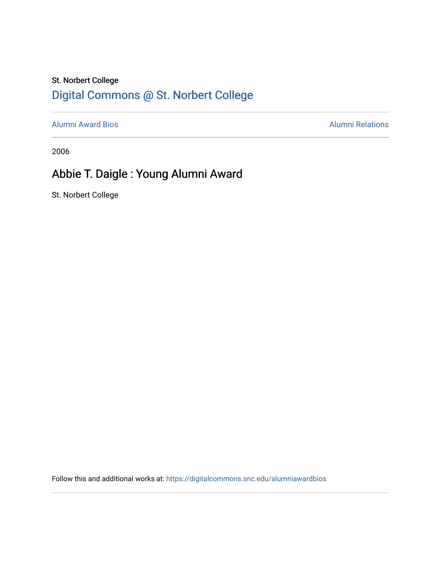### St. Norbert College [Digital Commons @ St. Norbert College](https://digitalcommons.snc.edu/)

[Alumni Award Bios](https://digitalcommons.snc.edu/alumniawardbios) **Alumni Relations** Alumni Relations

2006

## Abbie T. Daigle : Young Alumni Award

St. Norbert College

Follow this and additional works at: [https://digitalcommons.snc.edu/alumniawardbios](https://digitalcommons.snc.edu/alumniawardbios?utm_source=digitalcommons.snc.edu%2Falumniawardbios%2F14&utm_medium=PDF&utm_campaign=PDFCoverPages)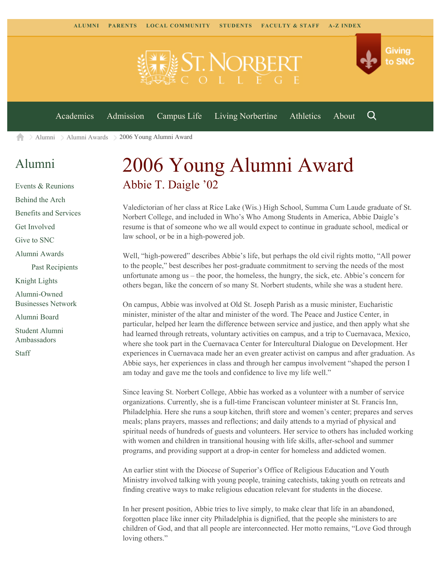

[Alumni](https://www.snc.edu/alumni/) [Alumni Awards](https://www.snc.edu/alumni/awards/) 2006 Young Alumni Award A

#### [Alumni](https://www.snc.edu/alumni/index.html)

[Events & Reunions](https://www.snc.edu/alumni/event/index.html) [Behind the Arch](https://www.snc.edu/alumni/event/behindthearch/) [Benefits and Services](https://www.snc.edu/alumni/benefits.html) [Get Involved](https://www.snc.edu/alumni/getinvolved.html) [Give to SNC](http://giving.snc.edu/) [Alumni Awards](https://www.snc.edu/alumni/awards/index.html) [Past Recipients](https://www.snc.edu/alumni/awards/recipients.html) [Knight Lights](https://www.snc.edu/alumni/knightlights/index.html) [Alumni-Owned](https://www.snc.edu/alumni/directory/index.html) [Businesses Network](https://www.snc.edu/alumni/directory/index.html) [Alumni Board](https://www.snc.edu/alumni/alumniboard.html) [Student Alumni](https://www.snc.edu/alumni/saa.html) [Ambassadors](https://www.snc.edu/alumni/saa.html) [Staff](https://www.snc.edu/alumni/contactus.html)

# 2006 Young Alumni Award Abbie T. Daigle '02

Valedictorian of her class at Rice Lake (Wis.) High School, Summa Cum Laude graduate of St. Norbert College, and included in Who's Who Among Students in America, Abbie Daigle's resume is that of someone who we all would expect to continue in graduate school, medical or law school, or be in a high-powered job.

Well, "high-powered" describes Abbie's life, but perhaps the old civil rights motto, "All power to the people," best describes her post-graduate commitment to serving the needs of the most unfortunate among us – the poor, the homeless, the hungry, the sick, etc. Abbie's concern for others began, like the concern of so many St. Norbert students, while she was a student here.

On campus, Abbie was involved at Old St. Joseph Parish as a music minister, Eucharistic minister, minister of the altar and minister of the word. The Peace and Justice Center, in particular, helped her learn the difference between service and justice, and then apply what she had learned through retreats, voluntary activities on campus, and a trip to Cuernavaca, Mexico, where she took part in the Cuernavaca Center for Intercultural Dialogue on Development. Her experiences in Cuernavaca made her an even greater activist on campus and after graduation. As Abbie says, her experiences in class and through her campus involvement "shaped the person I am today and gave me the tools and confidence to live my life well."

Since leaving St. Norbert College, Abbie has worked as a volunteer with a number of service organizations. Currently, she is a full-time Franciscan volunteer minister at St. Francis Inn, Philadelphia. Here she runs a soup kitchen, thrift store and women's center; prepares and serves meals; plans prayers, masses and reflections; and daily attends to a myriad of physical and spiritual needs of hundreds of guests and volunteers. Her service to others has included working with women and children in transitional housing with life skills, after-school and summer programs, and providing support at a drop-in center for homeless and addicted women.

An earlier stint with the Diocese of Superior's Office of Religious Education and Youth Ministry involved talking with young people, training catechists, taking youth on retreats and finding creative ways to make religious education relevant for students in the diocese.

In her present position, Abbie tries to live simply, to make clear that life in an abandoned, forgotten place like inner city Philadelphia is dignified, that the people she ministers to are children of God, and that all people are interconnected. Her motto remains, "Love God through loving others."